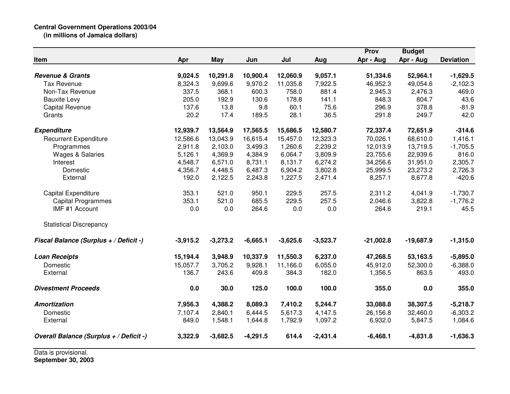## **Central Government Operations 2003/04 (in millions of Jamaica dollars)**

|                                         |            |            |            |            |            | Prov        | <b>Budget</b> |                  |
|-----------------------------------------|------------|------------|------------|------------|------------|-------------|---------------|------------------|
| Item                                    | Apr        | <b>May</b> | Jun        | Jul        | Aug        | Apr - Aug   | Apr - Aug     | <b>Deviation</b> |
| <b>Revenue &amp; Grants</b>             | 9,024.5    | 10,291.8   | 10,900.4   | 12,060.9   | 9,057.1    | 51,334.6    | 52,964.1      | $-1,629.5$       |
| <b>Tax Revenue</b>                      | 8,324.3    | 9,699.6    | 9,970.2    | 11,035.8   | 7,922.5    | 46,952.3    | 49,054.6      | $-2,102.3$       |
| Non-Tax Revenue                         | 337.5      | 368.1      | 600.3      | 758.0      | 881.4      | 2,945.3     | 2,476.3       | 469.0            |
| <b>Bauxite Levy</b>                     | 205.0      | 192.9      | 130.6      | 178.8      | 141.1      | 848.3       | 804.7         | 43.6             |
| <b>Capital Revenue</b>                  | 137.6      | 13.8       | 9.8        | 60.1       | 75.6       | 296.9       | 378.8         | $-81.9$          |
| Grants                                  | 20.2       | 17.4       | 189.5      | 28.1       | 36.5       | 291.8       | 249.7         | 42.0             |
| <b>Expenditure</b>                      | 12,939.7   | 13,564.9   | 17,565.5   | 15,686.5   | 12,580.7   | 72,337.4    | 72,651.9      | $-314.6$         |
| <b>Recurrent Expenditure</b>            | 12,586.6   | 13,043.9   | 16,615.4   | 15,457.0   | 12,323.3   | 70,026.1    | 68,610.0      | 1,416.1          |
| Programmes                              | 2,911.8    | 2,103.0    | 3,499.3    | 1,260.6    | 2,239.2    | 12,013.9    | 13,719.5      | $-1,705.5$       |
| <b>Wages &amp; Salaries</b>             | 5,126.1    | 4,369.9    | 4,384.9    | 6,064.7    | 3,809.9    | 23,755.6    | 22,939.6      | 816.0            |
| Interest                                | 4,548.7    | 6,571.0    | 8,731.1    | 8,131.7    | 6,274.2    | 34,256.6    | 31,951.0      | 2,305.7          |
| Domestic                                | 4,356.7    | 4,448.5    | 6,487.3    | 6,904.2    | 3,802.8    | 25,999.5    | 23,273.2      | 2,726.3          |
| External                                | 192.0      | 2,122.5    | 2,243.8    | 1,227.5    | 2,471.4    | 8,257.1     | 8,677.8       | $-420.6$         |
| Capital Expenditure                     | 353.1      | 521.0      | 950.1      | 229.5      | 257.5      | 2,311.2     | 4,041.9       | $-1,730.7$       |
| <b>Capital Programmes</b>               | 353.1      | 521.0      | 685.5      | 229.5      | 257.5      | 2,046.6     | 3,822.8       | $-1,776.2$       |
| IMF #1 Account                          | 0.0        | 0.0        | 264.6      | 0.0        | 0.0        | 264.6       | 219.1         | 45.5             |
| <b>Statistical Discrepancy</b>          |            |            |            |            |            |             |               |                  |
| Fiscal Balance (Surplus + / Deficit -)  | $-3,915.2$ | $-3,273.2$ | $-6,665.1$ | $-3,625.6$ | $-3,523.7$ | $-21,002.8$ | $-19,687.9$   | $-1,315.0$       |
| <b>Loan Receipts</b>                    | 15,194.4   | 3,948.9    | 10,337.9   | 11,550.3   | 6,237.0    | 47,268.5    | 53,163.5      | $-5,895.0$       |
| Domestic                                | 15,057.7   | 3,705.2    | 9,928.1    | 11,166.0   | 6,055.0    | 45,912.0    | 52,300.0      | $-6,388.0$       |
| External                                | 136.7      | 243.6      | 409.8      | 384.3      | 182.0      | 1,356.5     | 863.5         | 493.0            |
| <b>Divestment Proceeds</b>              | 0.0        | 30.0       | 125.0      | 100.0      | 100.0      | 355.0       | 0.0           | 355.0            |
| <b>Amortization</b>                     | 7,956.3    | 4,388.2    | 8,089.3    | 7,410.2    | 5,244.7    | 33,088.8    | 38,307.5      | $-5,218.7$       |
| Domestic                                | 7,107.4    | 2,840.1    | 6,444.5    | 5,617.3    | 4,147.5    | 26,156.8    | 32,460.0      | $-6,303.2$       |
| External                                | 849.0      | 1,548.1    | 1,644.8    | 1,792.9    | 1,097.2    | 6,932.0     | 5,847.5       | 1,084.6          |
| Overall Balance (Surplus + / Deficit -) | 3,322.9    | $-3,682.5$ | $-4,291.5$ | 614.4      | $-2,431.4$ | $-6,468.1$  | $-4,831.8$    | $-1,636.3$       |

Data is provisional. **September 30, 2003**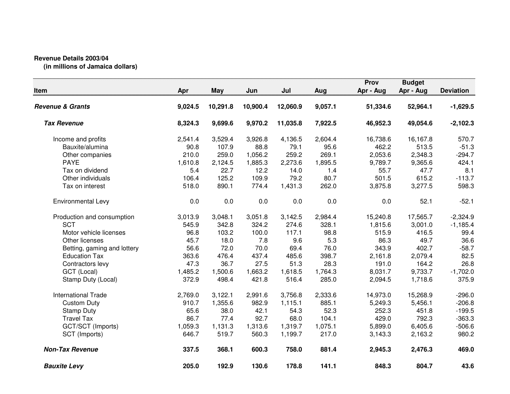## **Revenue Details 2003/04**

**(in millions of Jamaica dollars)**

| Item                        | Apr     | <b>May</b> | Jun      | Jul      | Aug     | Prov<br>Apr - Aug | <b>Budget</b><br>Apr - Aug | <b>Deviation</b> |
|-----------------------------|---------|------------|----------|----------|---------|-------------------|----------------------------|------------------|
| <b>Revenue &amp; Grants</b> | 9,024.5 | 10,291.8   | 10,900.4 | 12,060.9 | 9,057.1 | 51,334.6          | 52,964.1                   | $-1,629.5$       |
| <b>Tax Revenue</b>          | 8,324.3 | 9,699.6    | 9,970.2  | 11,035.8 | 7,922.5 | 46,952.3          | 49,054.6                   | $-2,102.3$       |
| Income and profits          | 2,541.4 | 3,529.4    | 3,926.8  | 4,136.5  | 2,604.4 | 16,738.6          | 16,167.8                   | 570.7            |
| Bauxite/alumina             | 90.8    | 107.9      | 88.8     | 79.1     | 95.6    | 462.2             | 513.5                      | $-51.3$          |
| Other companies             | 210.0   | 259.0      | 1,056.2  | 259.2    | 269.1   | 2,053.6           | 2,348.3                    | $-294.7$         |
| <b>PAYE</b>                 | 1,610.8 | 2,124.5    | 1,885.3  | 2,273.6  | 1,895.5 | 9,789.7           | 9,365.6                    | 424.1            |
| Tax on dividend             | 5.4     | 22.7       | 12.2     | 14.0     | 1.4     | 55.7              | 47.7                       | 8.1              |
| Other individuals           | 106.4   | 125.2      | 109.9    | 79.2     | 80.7    | 501.5             | 615.2                      | $-113.7$         |
| Tax on interest             | 518.0   | 890.1      | 774.4    | 1,431.3  | 262.0   | 3,875.8           | 3,277.5                    | 598.3            |
| Environmental Levy          | 0.0     | 0.0        | 0.0      | 0.0      | 0.0     | 0.0               | 52.1                       | $-52.1$          |
| Production and consumption  | 3,013.9 | 3,048.1    | 3,051.8  | 3,142.5  | 2,984.4 | 15,240.8          | 17,565.7                   | $-2,324.9$       |
| <b>SCT</b>                  | 545.9   | 342.8      | 324.2    | 274.6    | 328.1   | 1,815.6           | 3,001.0                    | $-1,185.4$       |
| Motor vehicle licenses      | 96.8    | 103.2      | 100.0    | 117.1    | 98.8    | 515.9             | 416.5                      | 99.4             |
| Other licenses              | 45.7    | 18.0       | 7.8      | 9.6      | 5.3     | 86.3              | 49.7                       | 36.6             |
| Betting, gaming and lottery | 56.6    | 72.0       | 70.0     | 69.4     | 76.0    | 343.9             | 402.7                      | $-58.7$          |
| <b>Education Tax</b>        | 363.6   | 476.4      | 437.4    | 485.6    | 398.7   | 2,161.8           | 2,079.4                    | 82.5             |
| Contractors levy            | 47.3    | 36.7       | 27.5     | 51.3     | 28.3    | 191.0             | 164.2                      | 26.8             |
| GCT (Local)                 | 1,485.2 | 1,500.6    | 1,663.2  | 1,618.5  | 1,764.3 | 8,031.7           | 9,733.7                    | $-1,702.0$       |
| Stamp Duty (Local)          | 372.9   | 498.4      | 421.8    | 516.4    | 285.0   | 2,094.5           | 1,718.6                    | 375.9            |
| <b>International Trade</b>  | 2,769.0 | 3,122.1    | 2,991.6  | 3,756.8  | 2,333.6 | 14,973.0          | 15,268.9                   | $-296.0$         |
| <b>Custom Duty</b>          | 910.7   | 1,355.6    | 982.9    | 1,115.1  | 885.1   | 5,249.3           | 5,456.1                    | $-206.8$         |
| <b>Stamp Duty</b>           | 65.6    | 38.0       | 42.1     | 54.3     | 52.3    | 252.3             | 451.8                      | $-199.5$         |
| <b>Travel Tax</b>           | 86.7    | 77.4       | 92.7     | 68.0     | 104.1   | 429.0             | 792.3                      | $-363.3$         |
| GCT/SCT (Imports)           | 1,059.3 | 1,131.3    | 1,313.6  | 1,319.7  | 1,075.1 | 5,899.0           | 6,405.6                    | $-506.6$         |
| SCT (Imports)               | 646.7   | 519.7      | 560.3    | 1,199.7  | 217.0   | 3,143.3           | 2,163.2                    | 980.2            |
| <b>Non-Tax Revenue</b>      | 337.5   | 368.1      | 600.3    | 758.0    | 881.4   | 2,945.3           | 2,476.3                    | 469.0            |
| <b>Bauxite Levy</b>         | 205.0   | 192.9      | 130.6    | 178.8    | 141.1   | 848.3             | 804.7                      | 43.6             |